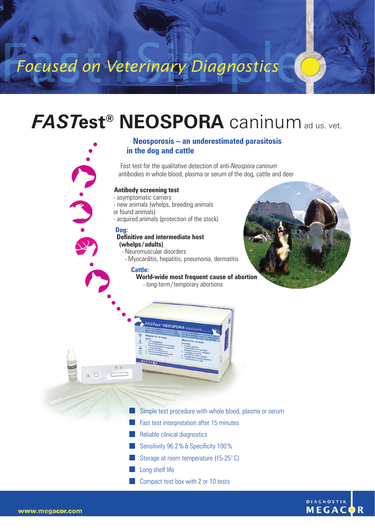# Focused on Veterinary Diagnostics

## *FAST***est® NEOSPORA** caninumad us. vet.

### **Neosporosis – an underestimated parasitosis in the dog and cattle**

Fast test for the qualitative detection of anti-*Neospora caninum* antibodies in whole blood, plasma or serum of the dog, cattle and deer

### **Antibody screening test**

- asymptomatic carriers

- new animals (whelps, breeding animals

or found animals)

- acquired animals (protection of the stock)

#### **Dog:**

#### **Definitive and intermediate host (whelps / adults)**

- Neuromuscular disorders

- Myocarditis, hepatitis, pneumonia, dermatitis

#### **Cattle:**

**World-wide most frequent cause of abortion** - long-term / temporary abortions





Simple test procedure with whole blood, plasma or serum

- Fast test interpretation after 15 minutes
- Reliable clinical diagnostics
- Sensitivity 96.2% & Specificity 100%
- Storage at room temperature (15-25° C)
- Long shelf life
- Compact test box with 2 or 10 tests